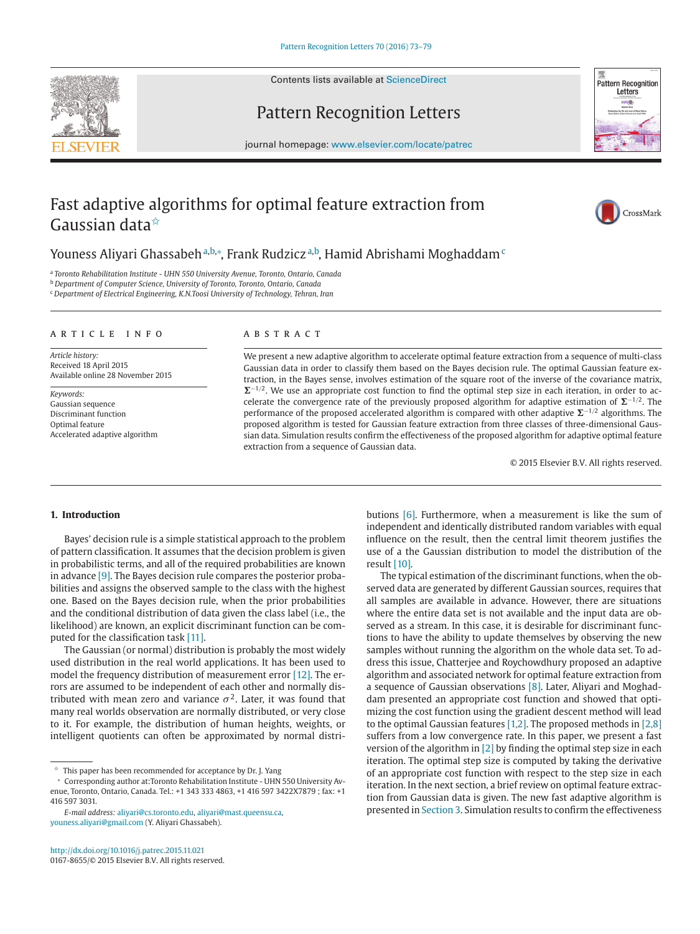Contents lists available at [ScienceDirect](http://www.ScienceDirect.com)





CrossMark

# Pattern Recognition Letters

journal homepage: [www.elsevier.com/locate/patrec](http://www.elsevier.com/locate/patrec)

# Fast adaptive algorithms for optimal feature extraction from Gaussian data✩

Youness Aliyari Ghassabeh ª,b,\*, Frank Rudzicz ª,b, Hamid Abrishami Moghaddam <sup>c</sup>

<sup>a</sup> *Toronto Rehabilitation Institute - UHN 550 University Avenue, Toronto, Ontario, Canada*

<sup>b</sup> *Department of Computer Science, University of Toronto, Toronto, Ontario, Canada*

<sup>c</sup> *Department of Electrical Engineering, K.N.Toosi University of Technology, Tehran, Iran*

#### article info

*Article history:* Received 18 April 2015 Available online 28 November 2015

*Keywords:* Gaussian sequence Discriminant function Optimal feature Accelerated adaptive algorithm

#### A B S T R A C T

We present a new adaptive algorithm to accelerate optimal feature extraction from a sequence of multi-class Gaussian data in order to classify them based on the Bayes decision rule. The optimal Gaussian feature extraction, in the Bayes sense, involves estimation of the square root of the inverse of the covariance matrix,  $\Sigma^{-1/2}$ . We use an appropriate cost function to find the optimal step size in each iteration, in order to accelerate the convergence rate of the previously proposed algorithm for adaptive estimation of  $\Sigma^{-1/2}$ . The performance of the proposed accelerated algorithm is compared with other adaptive  $\Sigma^{-1/2}$  algorithms. The proposed algorithm is tested for Gaussian feature extraction from three classes of three-dimensional Gaussian data. Simulation results confirm the effectiveness of the proposed algorithm for adaptive optimal feature extraction from a sequence of Gaussian data.

© 2015 Elsevier B.V. All rights reserved.

#### **1. Introduction**

Bayes' decision rule is a simple statistical approach to the problem of pattern classification. It assumes that the decision problem is given in probabilistic terms, and all of the required probabilities are known in advance [\[9\].](#page-6-0) The Bayes decision rule compares the posterior probabilities and assigns the observed sample to the class with the highest one. Based on the Bayes decision rule, when the prior probabilities and the conditional distribution of data given the class label (i.e., the likelihood) are known, an explicit discriminant function can be computed for the classification task [\[11\].](#page-6-0)

The Gaussian (or normal) distribution is probably the most widely used distribution in the real world applications. It has been used to model the frequency distribution of measurement error [\[12\].](#page-6-0) The errors are assumed to be independent of each other and normally distributed with mean zero and variance  $\sigma^2$ . Later, it was found that many real worlds observation are normally distributed, or very close to it. For example, the distribution of human heights, weights, or intelligent quotients can often be approximated by normal distri-

*E-mail address:* [aliyari@cs.toronto.edu,](mailto:aliyari@cs.toronto.edu) [aliyari@mast.queensu.ca,](mailto:aliyari@mast.queensu.ca) [youness.aliyari@gmail.com](mailto:youness.aliyari@gmail.com) (Y. Aliyari Ghassabeh).

butions [\[6\].](#page-6-0) Furthermore, when a measurement is like the sum of independent and identically distributed random variables with equal influence on the result, then the central limit theorem justifies the use of a the Gaussian distribution to model the distribution of the result [\[10\].](#page-6-0)

The typical estimation of the discriminant functions, when the observed data are generated by different Gaussian sources, requires that all samples are available in advance. However, there are situations where the entire data set is not available and the input data are observed as a stream. In this case, it is desirable for discriminant functions to have the ability to update themselves by observing the new samples without running the algorithm on the whole data set. To address this issue, Chatterjee and Roychowdhury proposed an adaptive algorithm and associated network for optimal feature extraction from a sequence of Gaussian observations [\[8\].](#page-6-0) Later, Aliyari and Moghaddam presented an appropriate cost function and showed that optimizing the cost function using the gradient descent method will lead to the optimal Gaussian features [\[1,2\].](#page-6-0) The proposed methods in [\[2,8\]](#page-6-0) suffers from a low convergence rate. In this paper, we present a fast version of the algorithm in  $[2]$  by finding the optimal step size in each iteration. The optimal step size is computed by taking the derivative of an appropriate cost function with respect to the step size in each iteration. In the next section, a brief review on optimal feature extraction from Gaussian data is given. The new fast adaptive algorithm is presented in [Section 3.](#page-1-0) Simulation results to confirm the effectiveness

 $\overrightarrow{r}$  This paper has been recommended for acceptance by Dr. J. Yang

<sup>∗</sup> Corresponding author at:Toronto Rehabilitation Institute - UHN 550 University Avenue, Toronto, Ontario, Canada. Tel.: +1 343 333 4863, +1 416 597 3422X7879 ; fax: +1 416 597 3031.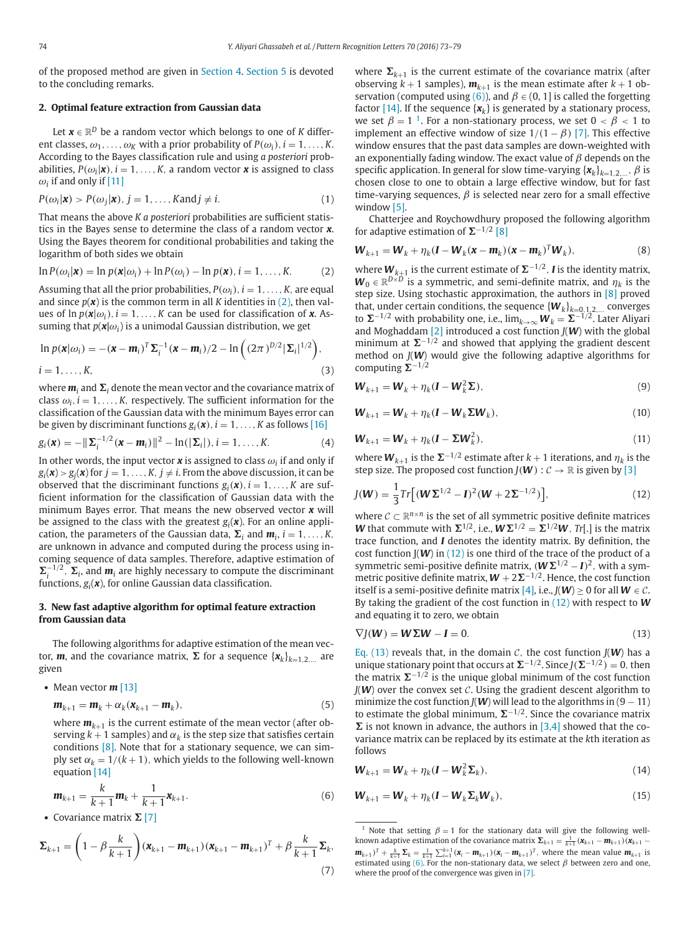<span id="page-1-0"></span>of the proposed method are given in [Section 4.](#page-3-0) [Section 5](#page-5-0) is devoted to the concluding remarks.

# **2. Optimal feature extraction from Gaussian data**

Let  $\mathbf{x} \in \mathbb{R}^D$  be a random vector which belongs to one of *K* different classes,  $\omega_1, \ldots, \omega_K$  with a prior probability of  $P(\omega_i)$ ,  $i = 1, \ldots, K$ . According to the Bayes classification rule and using *a posteriori* probabilities,  $P(\omega_i|\mathbf{x})$ ,  $i = 1, ..., K$ , a random vector **x** is assigned to class  $\omega_i$  if and only if [\[11\]](#page-6-0)

$$
P(\omega_i|\mathbf{x}) > P(\omega_j|\mathbf{x}), j = 1, ..., K \text{and } j \neq i.
$$
 (1)

That means the above *K a posteriori* probabilities are sufficient statistics in the Bayes sense to determine the class of a random vector *x*. Using the Bayes theorem for conditional probabilities and taking the logarithm of both sides we obtain

$$
\ln P(\omega_i|\mathbf{x}) = \ln p(\mathbf{x}|\omega_i) + \ln P(\omega_i) - \ln p(\mathbf{x}), i = 1, ..., K.
$$
 (2)

Assuming that all the prior probabilities,  $P(\omega_i)$ ,  $i = 1, \ldots, K$ , are equal and since  $p(x)$  is the common term in all *K* identities in (2), then values of  $\ln p(\mathbf{x}|\omega_i)$ ,  $i = 1, \ldots, K$  can be used for classification of **x**. Assuming that  $p(\mathbf{x}|\omega_i)$  is a unimodal Gaussian distribution, we get

$$
\ln p(\mathbf{x}|\omega_i) = -(\mathbf{x} - \mathbf{m}_i)^T \Sigma_i^{-1} (\mathbf{x} - \mathbf{m}_i)/2 - \ln \left( (2\pi)^{D/2} |\Sigma_i|^{1/2} \right),
$$
  

$$
i = 1, ..., K,
$$
 (3)

where  $\boldsymbol{m}_i$  and  $\boldsymbol{\Sigma}_i$  denote the mean vector and the covariance matrix of class  $\omega_i$ ,  $i = 1, \ldots, K$ , respectively. The sufficient information for the classification of the Gaussian data with the minimum Bayes error can be given by discriminant functions  $g_i(\mathbf{x})$ ,  $i = 1, \ldots, K$  as follows [\[16\]](#page-6-0)

$$
g_i(\boldsymbol{x}) = -\|\boldsymbol{\Sigma}_i^{-1/2}(\boldsymbol{x}-\boldsymbol{m}_i)\|^2 - \ln(|\boldsymbol{\Sigma}_i|), i = 1,\ldots,K.
$$
 (4)

In other words, the input vector  $x$  is assigned to class  $\omega_i$  if and only if  $g_i(\mathbf{x}) > g_j(\mathbf{x})$  for  $j = 1, \ldots, K, j \neq i$ . From the above discussion, it can be observed that the discriminant functions  $g_i(\mathbf{x})$ ,  $i = 1, \ldots, K$  are sufficient information for the classification of Gaussian data with the minimum Bayes error. That means the new observed vector *x* will be assigned to the class with the greatest  $g_i(x)$ . For an online application, the parameters of the Gaussian data,  $\Sigma_i$  and  $m_i$ ,  $i = 1, \ldots, K$ , are unknown in advance and computed during the process using incoming sequence of data samples. Therefore, adaptive estimation of  $\sum_i$ <sup>-1/2</sup>,  $\Sigma_i$ , and  $m_i$  are highly necessary to compute the discriminant functions,  $g_i(x)$ , for online Gaussian data classification.

# **3. New fast adaptive algorithm for optimal feature extraction from Gaussian data**

The following algorithms for adaptive estimation of the mean vector, **m**, and the covariance matrix,  $\Sigma$  for a sequence  $\{x_k\}_{k=1,2,...}$  are given

• Mean vector **m** [\[13\]](#page-6-0)

$$
\mathbf{m}_{k+1} = \mathbf{m}_k + \alpha_k (\mathbf{x}_{k+1} - \mathbf{m}_k),
$$
\n(5)

where  $m_{k+1}$  is the current estimate of the mean vector (after observing  $k + 1$  samples) and  $\alpha_k$  is the step size that satisfies certain conditions [\[8\].](#page-6-0) Note that for a stationary sequence, we can simply set  $\alpha_k = 1/(k + 1)$ , which yields to the following well-known equation [\[14\]](#page-6-0)

$$
\mathbf{m}_{k+1} = \frac{k}{k+1}\mathbf{m}_k + \frac{1}{k+1}\mathbf{x}_{k+1}.
$$
 (6)

• Covariance matrix  $\Sigma$  [\[7\]](#page-6-0)

$$
\Sigma_{k+1} = \left(1 - \beta \frac{k}{k+1}\right) (\mathbf{x}_{k+1} - \mathbf{m}_{k+1}) (\mathbf{x}_{k+1} - \mathbf{m}_{k+1})^T + \beta \frac{k}{k+1} \Sigma_k,
$$
\n(7)

where  $\Sigma_{k+1}$  is the current estimate of the covariance matrix (after observing  $k + 1$  samples),  $m_{k+1}$  is the mean estimate after  $k + 1$  observation (computed using (6)), and  $\beta \in (0, 1]$  is called the forgetting factor  $[14]$ . If the sequence  $\{x_k\}$  is generated by a stationary process, we set  $\beta = 1$ <sup>1</sup>. For a non-stationary process, we set  $0 < \beta < 1$  to implement an effective window of size  $1/(1 - \beta)$  [\[7\].](#page-6-0) This effective window ensures that the past data samples are down-weighted with an exponentially fading window. The exact value of  $\beta$  depends on the specific application. In general for slow time-varying  $\{x_k\}_{k=1,2,\ldots}$ ,  $\beta$  is chosen close to one to obtain a large effective window, but for fast time-varying sequences,  $\beta$  is selected near zero for a small effective window [\[5\].](#page-6-0)

Chatterjee and Roychowdhury proposed the following algorithm for adaptive estimation of  $\Sigma^{-1/2}$  [\[8\]](#page-6-0)

$$
\boldsymbol{W}_{k+1} = \boldsymbol{W}_k + \eta_k (\boldsymbol{I} - \boldsymbol{W}_k (\boldsymbol{x} - \boldsymbol{m}_k) (\boldsymbol{x} - \boldsymbol{m}_k)^T \boldsymbol{W}_k),
$$
\n(8)

where  $W_{k+1}$  is the current estimate of  $\Sigma^{-1/2}$ , *I* is the identity matrix,  $W_0 \in \mathbb{R}^{D \times D}$  is a symmetric, and semi-definite matrix, and  $\eta_k$  is the step size. Using stochastic approximation, the authors in [\[8\]](#page-6-0) proved that, under certain conditions, the sequence  ${W_k}_{k=0,1,2,...}$  converges to  $\Sigma$ <sup>−1/2</sup> with probability one, i.e.,  $\lim_{k\to\infty}$   $W_k = \Sigma$ <sup>−1/2</sup>. Later Aliyari and Moghaddam [\[2\]](#page-6-0) introduced a cost function *J*(*W*) with the global minimum at  $\Sigma^{-1/2}$  and showed that applying the gradient descent method on *J*(*W*) would give the following adaptive algorithms for computing  $\Sigma^{-1/2}$ 

$$
\boldsymbol{W}_{k+1} = \boldsymbol{W}_k + \eta_k (\boldsymbol{I} - \boldsymbol{W}_k^2 \boldsymbol{\Sigma}),
$$
\n(9)

$$
\boldsymbol{W}_{k+1} = \boldsymbol{W}_k + \eta_k (\boldsymbol{I} - \boldsymbol{W}_k \boldsymbol{\Sigma} \boldsymbol{W}_k),
$$
\n(10)

$$
\boldsymbol{W}_{k+1} = \boldsymbol{W}_k + \eta_k (\boldsymbol{I} - \boldsymbol{\Sigma} \boldsymbol{W}_k^2), \tag{11}
$$

where  $W_{k+1}$  is the  $\Sigma^{-1/2}$  estimate after  $k+1$  iterations, and  $\eta_k$  is the step size. The proposed cost function *J*( $W$ ) :  $C \rightarrow \mathbb{R}$  is given by [\[3\]](#page-6-0)

$$
J(\mathbf{W}) = \frac{1}{3} Tr[(\mathbf{W} \Sigma^{1/2} - \mathbf{I})^2 (\mathbf{W} + 2\Sigma^{-1/2})],
$$
 (12)

where  $C \subset \mathbb{R}^{n \times n}$  is the set of all symmetric positive definite matrices *W* that commute with  $\Sigma^{1/2}$ , i.e.,  $W\Sigma^{1/2} = \Sigma^{1/2}W$ , *Tr*[.] is the matrix trace function, and *I* denotes the identity matrix. By definition, the cost function J(*W*) in (12) is one third of the trace of the product of a symmetric semi-positive definite matrix,  $(W\Sigma^{1/2} - I)^2$ , with a symmetric positive definite matrix,  $W + 2\Sigma^{-1/2}$ . Hence, the cost function itself is a semi-positive definite matrix [\[4\],](#page-6-0) i.e.,  $J(W) \ge 0$  for all  $W \in \mathcal{C}$ . By taking the gradient of the cost function in (12) with respect to *W* and equating it to zero, we obtain

$$
\nabla J(\mathbf{W}) = \mathbf{W} \Sigma \mathbf{W} - \mathbf{I} = 0. \tag{13}
$$

Eq. (13) reveals that, in the domain  $C$ , the cost function  $J(W)$  has a unique stationary point that occurs at  $\Sigma^{-1/2}$ . Since  $J(\Sigma^{-1/2}) = 0$ , then the matrix  $\Sigma^{-1/2}$  is the unique global minimum of the cost function  $J(W)$  over the convex set  $C$ . Using the gradient descent algorithm to minimize the cost function *J*(*W*) will lead to the algorithms in  $(9 - 11)$ to estimate the global minimum,  $\Sigma^{-1/2}$ . Since the covariance matrix  $\Sigma$  is not known in advance, the authors in  $[3,4]$  showed that the covariance matrix can be replaced by its estimate at the *k*th iteration as follows

$$
\boldsymbol{W}_{k+1} = \boldsymbol{W}_k + \eta_k (\boldsymbol{I} - \boldsymbol{W}_k^2 \boldsymbol{\Sigma}_k),
$$
\n(14)

$$
\boldsymbol{W}_{k+1} = \boldsymbol{W}_k + \eta_k (\boldsymbol{I} - \boldsymbol{W}_k \boldsymbol{\Sigma}_k \boldsymbol{W}_k),
$$
\n(15)

<sup>&</sup>lt;sup>1</sup> Note that setting  $\beta = 1$  for the stationary data will give the following wellknown adaptive estimation of the covariance matrix  $\Sigma_{k+1} = \frac{1}{k+1} (\mathbf{x}_{k+1} - \mathbf{m}_{k+1}) (\mathbf{x}_{k+1} - \mathbf{m}_{k+1})$  $\mathbf{m}_{k+1}$ )<sup>T</sup> +  $\frac{k}{k+1}$   $\Sigma_k = \frac{1}{k+1} \sum_{i=1}^{k+1} (x_i - \mathbf{m}_{k+1}) (x_i - \mathbf{m}_{k+1})^T$ , where the mean value  $\mathbf{m}_{k+1}$  is estimated using (6). For the non-stationary data, we select  $\beta$  between zero and one, where the proof of the convergence was given in [\[7\].](#page-6-0)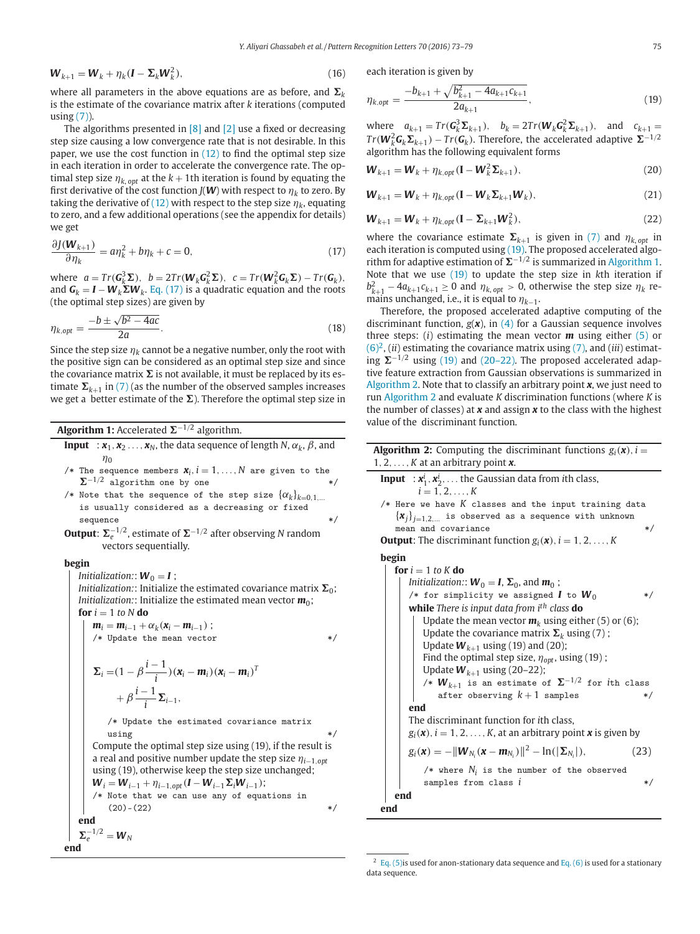<span id="page-2-0"></span>
$$
\boldsymbol{W}_{k+1} = \boldsymbol{W}_k + \eta_k (\boldsymbol{I} - \boldsymbol{\Sigma}_k \boldsymbol{W}_k^2), \tag{16}
$$

where all parameters in the above equations are as before, and  $\boldsymbol{\Sigma}_k$ is the estimate of the covariance matrix after *k* iterations (computed using  $(7)$ ).

The algorithms presented in [\[8\]](#page-6-0) and [\[2\]](#page-6-0) use a fixed or decreasing step size causing a low convergence rate that is not desirable. In this paper, we use the cost function in  $(12)$  to find the optimal step size in each iteration in order to accelerate the convergence rate. The optimal step size  $\eta_{k, opt}$  at the  $k + 1$ th iteration is found by equating the first derivative of the cost function *J*(*W*) with respect to  $\eta_k$  to zero. By taking the derivative of [\(12\)](#page-1-0) with respect to the step size  $\eta_k$ , equating to zero, and a few additional operations (see the appendix for details) we get

$$
\frac{\partial J(\mathbf{W}_{k+1})}{\partial \eta_k} = a\eta_k^2 + b\eta_k + c = 0,
$$
\n(17)

 $\mathbf{w} = \text{Tr}(\mathbf{G}_k^3 \mathbf{\Sigma}), \quad b = 2\text{Tr}(\mathbf{W}_k \mathbf{G}_k^2 \mathbf{\Sigma}), \quad c = \text{Tr}(\mathbf{W}_k^2 \mathbf{G}_k \mathbf{\Sigma}) - \text{Tr}(\mathbf{G}_k),$ and  $\boldsymbol{G}_k = \boldsymbol{I} - \boldsymbol{W}_k \boldsymbol{\Sigma} \boldsymbol{W}_k$ . Eq. (17) is a quadratic equation and the roots (the optimal step sizes) are given by

$$
\eta_{k,opt} = \frac{-b \pm \sqrt{b^2 - 4ac}}{2a}.
$$
\n(18)

Since the step size  $\eta_k$  cannot be a negative number, only the root with the positive sign can be considered as an optimal step size and since the covariance matrix  $\boldsymbol{\Sigma}$  is not available, it must be replaced by its estimate  $\mathbf{\Sigma}_{k+1}$  in [\(7\)](#page-1-0) (as the number of the observed samples increases we get a better estimate of the  $\Sigma$ ). Therefore the optimal step size in

|  | <b>Algorithm 1:</b> Accelerated $\Sigma^{-1/2}$ algorithm. |  |
|--|------------------------------------------------------------|--|
|--|------------------------------------------------------------|--|

- **Input** :  $x_1, x_2, \ldots, x_N$ , the data sequence of length *N*,  $\alpha_k$ ,  $\beta$ , and  $n_0$
- /\* The sequence members  $\mathbf{x}_i$ ,  $i = 1, ..., N$  are given to the  $\Sigma^{-1/2}$  algorithm one by one \*/
- /\* Note that the sequence of the step size  $\{\alpha_k\}_{k=0,1,\ldots}$ is usually considered as a decreasing or fixed sequence
- **Output:**  $\mathbf{\Sigma}_{e}^{-1/2}$ , estimate of  $\mathbf{\Sigma}^{-1/2}$  after observing N random vectors sequentially.

#### **begin**

**end**

*Initialization:*:  $W_0 = I$ ; Initialization:: Initialize the estimated covariance matrix  $\boldsymbol{\Sigma}_0;$ *Initialization::* Initialize the estimated mean vector  $m_0$ ; **for**  $i = 1$  *to*  $N$  **do** 

$$
\begin{vmatrix}\n\mathbf{m}_i = \mathbf{m}_{i-1} + \alpha_k (\mathbf{x}_i - \mathbf{m}_{i-1}) ;\n\begin{vmatrix}\n\mathbf{m}_i = \mathbf{m}_{i-1} + \alpha_k (\mathbf{x}_i - \mathbf{m}_{i-1}) ;\n\end{vmatrix} * \mathbf{V} = (1 - \beta \frac{i - 1}{i}) (\mathbf{x}_i - \mathbf{m}_i) (\mathbf{x}_i - \mathbf{m}_i)^T \n+ \beta \frac{i - 1}{i} \Sigma_{i-1},\n\end{vmatrix}
$$

/\* Update the estimated covariance matrix using  $*/$ 

Compute the optimal step size using (19), if the result is a real and positive number update the step size η*i*−1,*opt* using (19), otherwise keep the step size unchanged;  $W_i = W_{i-1} + \eta_{i-1,opt}(I - W_{i-1}\Sigma_iW_{i-1});$ /\* Note that we can use any of equations in  $(20)-(22)$  \*/ **end**  $\Sigma_e^{-1/2} = W_N$ 

each iteration is given by

$$
\eta_{k,opt} = \frac{-b_{k+1} + \sqrt{b_{k+1}^2 - 4a_{k+1}c_{k+1}}}{2a_{k+1}},\tag{19}
$$

where  $a_{k+1} = Tr(G_k^3 \Sigma_{k+1}), b_k = 2Tr(W_k G_k^2 \Sigma_{k+1}),$  and  $c_{k+1} =$  $Tr(W_k^2 G_k \Sigma_{k+1}) - Tr(G_k)$ . Therefore, the accelerated adaptive  $\Sigma^{-1/2}$ algorithm has the following equivalent forms

$$
\boldsymbol{W}_{k+1} = \boldsymbol{W}_k + \eta_{k, opt} (\mathbf{I} - \boldsymbol{W}_k^2 \boldsymbol{\Sigma}_{k+1}),
$$
\n(20)

$$
\boldsymbol{W}_{k+1} = \boldsymbol{W}_k + \eta_{k, opt} (\mathbf{I} - \boldsymbol{W}_k \boldsymbol{\Sigma}_{k+1} \boldsymbol{W}_k),
$$
\n(21)

$$
\boldsymbol{W}_{k+1} = \boldsymbol{W}_k + \eta_{k, opt} (\mathbf{I} - \boldsymbol{\Sigma}_{k+1} \boldsymbol{W}_k^2),
$$
\n(22)

where the covariance estimate  $\Sigma_{k+1}$  is given in [\(7\)](#page-1-0) and  $\eta_{k,\, opt}$  in each iteration is computed using (19). The proposed accelerated algorithm for adaptive estimation of  $\Sigma^{-1/2}$  is summarized in Algorithm 1. Note that we use (19) to update the step size in *k*th iteration if  $b_{k+1}^2 - 4a_{k+1}c_{k+1} \ge 0$  and  $\eta_{k,\, opt} > 0$ , otherwise the step size  $\eta_k$  remains unchanged, i.e., it is equal to  $\eta_{k-1}$ .

Therefore, the proposed accelerated adaptive computing of the discriminant function,  $g(x)$ , in [\(4\)](#page-1-0) for a Gaussian sequence involves three steps: (*i*) estimating the mean vector *m* using either [\(5\)](#page-1-0) or  $(6)^2$ , (*ii*) estimating the covariance matrix using [\(7\),](#page-1-0) and (*iii*) estimating  $\Sigma^{-1/2}$  using (19) and (20–22). The proposed accelerated adaptive feature extraction from Gaussian observations is summarized in Algorithm 2. Note that to classify an arbitrary point *x*, we just need to run Algorithm 2 and evaluate *K* discrimination functions (where *K* is the number of classes) at *x* and assign *x* to the class with the highest value of the discriminant function.

| <b>Algorithm 2:</b> Computing the discriminant functions $g_i(\mathbf{x})$ , $i =$<br>1, 2, $\dots$ , K at an arbitrary point <b>x</b> .                                                                                                                                                                                                                                                                                                                      |  |  |  |  |  |  |
|---------------------------------------------------------------------------------------------------------------------------------------------------------------------------------------------------------------------------------------------------------------------------------------------------------------------------------------------------------------------------------------------------------------------------------------------------------------|--|--|--|--|--|--|
| <b>Input</b> : $x_1^i$ , $x_2^i$ ,  the Gaussian data from <i>i</i> th class,<br>$i = 1, 2, , K$<br>/* Here we have $K$ classes and the input training data<br>$\{{\boldsymbol{x}}_j\}_{j=1,2,}$ is observed as a sequence with unknown<br>mean and covariance<br>*/<br><b>Output:</b> The discriminant function $g_i(\mathbf{x})$ , $i = 1, 2, , K$                                                                                                          |  |  |  |  |  |  |
| begin<br><b>for</b> $i = 1$ to K <b>do</b><br><i>Initialization:</i> : $W_0 = I$ , $\Sigma_0$ , and $m_0$ ;                                                                                                                                                                                                                                                                                                                                                   |  |  |  |  |  |  |
| /* for simplicity we assigned $I$ to $W_0$<br>*/<br>while There is input data from $ith$ class do<br>Update the mean vector $m_k$ using either (5) or (6);<br>Update the covariance matrix $\Sigma_k$ using (7);<br>Update $W_{k+1}$ using (19) and (20);<br>Find the optimal step size, $\eta_{opt}$ , using (19);<br>Update $W_{k+1}$ using (20–22);<br>/* $W_{k+1}$ is an estimate of $\Sigma^{-1/2}$ for ith class<br>after observing $k+1$ samples<br>*/ |  |  |  |  |  |  |
| end<br>The discriminant function for <i>i</i> th class,<br>$g_i(\mathbf{x}), i = 1, 2, , K$ , at an arbitrary point <b>x</b> is given by                                                                                                                                                                                                                                                                                                                      |  |  |  |  |  |  |
| $g_i(\mathbf{x}) = -\ \mathbf{W}_{N_i}(\mathbf{x}-\mathbf{m}_{N_i})\ ^2 - \ln(\ \mathbf{\Sigma}_{N_i}\ ),$<br>(23)                                                                                                                                                                                                                                                                                                                                            |  |  |  |  |  |  |
| /* where $N_i$ is the number of the observed<br>samples from class i<br>$\ast/$                                                                                                                                                                                                                                                                                                                                                                               |  |  |  |  |  |  |
| end<br>end                                                                                                                                                                                                                                                                                                                                                                                                                                                    |  |  |  |  |  |  |

 $2 \text{ Eq. (5)}$  is used for anon-stationary data sequence and [Eq. \(6\)](#page-1-0) is used for a stationary data sequence.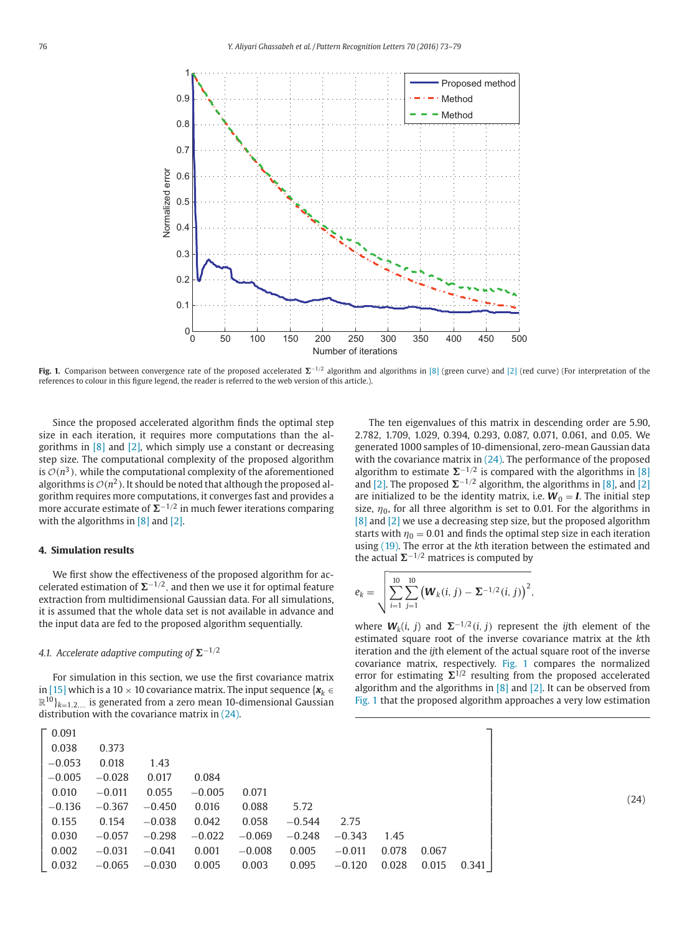<span id="page-3-0"></span>

**Fig. 1.** Comparison between convergence rate of the proposed accelerated  $\Sigma^{-1/2}$  algorithm and algorithms in [\[8\]](#page-6-0) (green curve) and [\[2\]](#page-6-0) (red curve) (For interpretation of the references to colour in this figure legend, the reader is referred to the web version of this article.).

Since the proposed accelerated algorithm finds the optimal step size in each iteration, it requires more computations than the algorithms in  $[8]$  and  $[2]$ , which simply use a constant or decreasing step size. The computational complexity of the proposed algorithm is  $\mathcal{O}(n^3)$ , while the computational complexity of the aforementioned algorithms is  $\mathcal{O}(n^2)$ . It should be noted that although the proposed algorithm requires more computations, it converges fast and provides a more accurate estimate of  $\Sigma^{-1/2}$  in much fewer iterations comparing with the algorithms in  $[8]$  and  $[2]$ .

#### **4. Simulation results**

We first show the effectiveness of the proposed algorithm for accelerated estimation of  $\Sigma^{-1/2}$ , and then we use it for optimal feature extraction from multidimensional Gaussian data. For all simulations, it is assumed that the whole data set is not available in advance and the input data are fed to the proposed algorithm sequentially.

# 4.1. Accelerate adaptive computing of  $\Sigma^{-1/2}$

For simulation in this section, we use the first covariance matrix in [\[15\]](#page-6-0) which is a 10  $\times$  10 covariance matrix. The input sequence { $\mathbf{x}_k \in \mathbb{R}$  $\mathbb{R}^{10}$ <sub>k=1,2,...</sub> is generated from a zero mean 10-dimensional Gaussian distribution with the covariance matrix in (24).

| $\Gamma$ 0.091 |          |          |          |          |          |          |       |       |       |  |
|----------------|----------|----------|----------|----------|----------|----------|-------|-------|-------|--|
| 0.038          | 0.373    |          |          |          |          |          |       |       |       |  |
| $-0.053$       | 0.018    | 1.43     |          |          |          |          |       |       |       |  |
| $-0.005$       | $-0.028$ | 0.017    | 0.084    |          |          |          |       |       |       |  |
| 0.010          | $-0.011$ | 0.055    | $-0.005$ | 0.071    |          |          |       |       |       |  |
| $-0.136$       | $-0.367$ | $-0.450$ | 0.016    | 0.088    | 5.72     |          |       |       |       |  |
| 0.155          | 0.154    | $-0.038$ | 0.042    | 0.058    | $-0.544$ | 2.75     |       |       |       |  |
| 0.030          | $-0.057$ | $-0.298$ | $-0.022$ | $-0.069$ | $-0.248$ | $-0.343$ | 1.45  |       |       |  |
| 0.002          | $-0.031$ | $-0.041$ | 0.001    | $-0.008$ | 0.005    | $-0.011$ | 0.078 | 0.067 |       |  |
| 0.032          | $-0.065$ | $-0.030$ | 0.005    | 0.003    | 0.095    | $-0.120$ | 0.028 | 0.015 | 0.341 |  |

The ten eigenvalues of this matrix in descending order are 5.90, 2.782, 1.709, 1.029, 0.394, 0.293, 0.087, 0.071, 0.061, and 0.05. We generated 1000 samples of 10-dimensional, zero-mean Gaussian data with the covariance matrix in (24). The performance of the proposed algorithm to estimate  $\Sigma^{-1/2}$  is compared with the algorithms in [\[8\]](#page-6-0) and [\[2\].](#page-6-0) The proposed  $\Sigma^{-1/2}$  algorithm, the algorithms in [\[8\],](#page-6-0) and [\[2\]](#page-6-0) are initialized to be the identity matrix, i.e.  $W_0 = I$ . The initial step size,  $\eta_0$ , for all three algorithm is set to 0.01. For the algorithms in [\[8\]](#page-6-0) and [\[2\]](#page-6-0) we use a decreasing step size, but the proposed algorithm starts with  $\eta_0 = 0.01$  and finds the optimal step size in each iteration using [\(19\).](#page-2-0) The error at the *k*th iteration between the estimated and the actual  $\Sigma^{-1/2}$  matrices is computed by

$$
e_k = \sqrt{\sum_{i=1}^{10} \sum_{j=1}^{10} (W_k(i, j) - \Sigma^{-1/2}(i, j))^2},
$$

where  $W_k(i, j)$  and  $\Sigma^{-1/2}(i, j)$  represent the *ij*th element of the estimated square root of the inverse covariance matrix at the *k*th iteration and the *ij*th element of the actual square root of the inverse covariance matrix, respectively. Fig. 1 compares the normalized error for estimating  $\Sigma^{1/2}$  resulting from the proposed accelerated algorithm and the algorithms in  $[8]$  and  $[2]$ . It can be observed from Fig. 1 that the proposed algorithm approaches a very low estimation

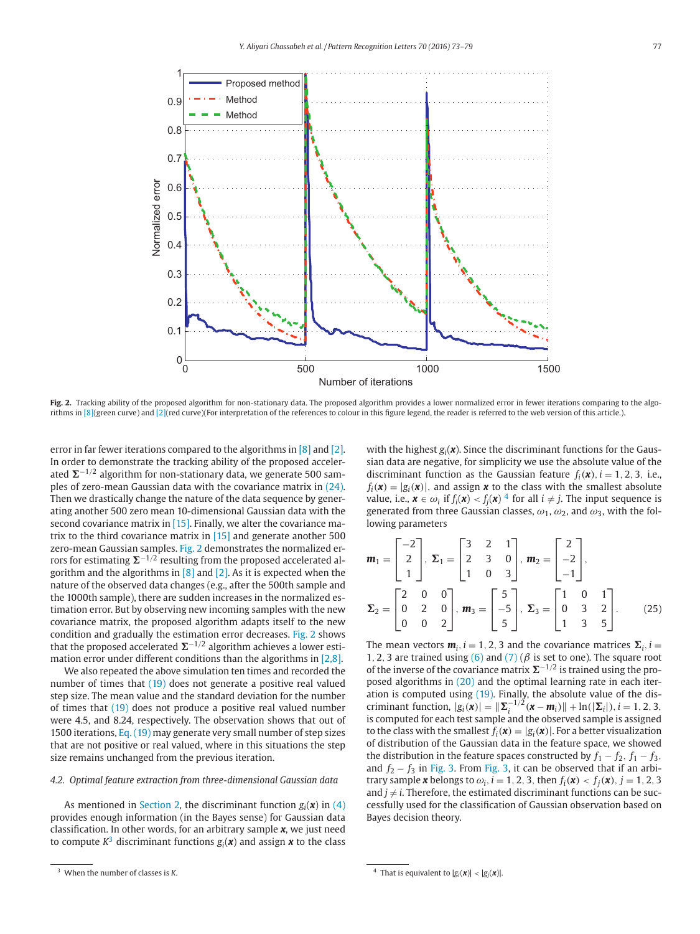

Fig. 2. Tracking ability of the proposed algorithm for non-stationary data. The proposed algorithm provides a lower normalized error in fewer iterations comparing to the algorithms in [\[8\]\(](#page-6-0)green curve) and [\[2\]\(](#page-6-0)red curve)(For interpretation of the references to colour in this figure legend, the reader is referred to the web version of this article.).

error in far fewer iterations compared to the algorithms in [\[8\]](#page-6-0) and [\[2\].](#page-6-0) In order to demonstrate the tracking ability of the proposed accelerated ∑<sup>–1/2</sup> algorithm for non-stationary data, we generate 500 samples of zero-mean Gaussian data with the covariance matrix in [\(24\).](#page-3-0) Then we drastically change the nature of the data sequence by generating another 500 zero mean 10-dimensional Gaussian data with the second covariance matrix in [\[15\].](#page-6-0) Finally, we alter the covariance matrix to the third covariance matrix in  $[15]$  and generate another 500 zero-mean Gaussian samples. Fig. 2 demonstrates the normalized errors for estimating  $\mathbf{\Sigma}^{-1/2}$  resulting from the proposed accelerated algorithm and the algorithms in [\[8\]](#page-6-0) and [\[2\].](#page-6-0) As it is expected when the nature of the observed data changes (e.g., after the 500th sample and the 1000th sample), there are sudden increases in the normalized estimation error. But by observing new incoming samples with the new covariance matrix, the proposed algorithm adapts itself to the new condition and gradually the estimation error decreases. Fig. 2 shows that the proposed accelerated ∑<sup>−1/2</sup> algorithm achieves a lower estimation error under different conditions than the algorithms in [\[2,8\].](#page-6-0)

We also repeated the above simulation ten times and recorded the number of times that [\(19\)](#page-2-0) does not generate a positive real valued step size. The mean value and the standard deviation for the number of times that [\(19\)](#page-2-0) does not produce a positive real valued number were 4.5, and 8.24, respectively. The observation shows that out of 1500 iterations, [Eq. \(19\)](#page-2-0) may generate very small number of step sizes that are not positive or real valued, where in this situations the step size remains unchanged from the previous iteration.

### *4.2. Optimal feature extraction from three-dimensional Gaussian data*

As mentioned in [Section 2,](#page-1-0) the discriminant function  $g_i(\boldsymbol{x})$  in [\(4\)](#page-1-0) provides enough information (in the Bayes sense) for Gaussian data classification. In other words, for an arbitrary sample *x*, we just need to compute  $K^3$  discriminant functions  $g_i(\boldsymbol{x})$  and assign  $\boldsymbol{x}$  to the class

with the highest  $g_i(x)$ . Since the discriminant functions for the Gaussian data are negative, for simplicity we use the absolute value of the discriminant function as the Gaussian feature  $f_i(\mathbf{x})$ ,  $i = 1, 2, 3$ , i.e.,  $f_i(\mathbf{x}) = |g_i(\mathbf{x})|$ , and assign **x** to the class with the smallest absolute value, i.e.,  $\mathbf{x} \in \omega_i$  if  $f_i(\mathbf{x}) < f_i(\mathbf{x})^4$  for all  $i \neq j$ . The input sequence is generated from three Gaussian classes,  $\omega_1$ ,  $\omega_2$ , and  $\omega_3$ , with the following parameters

$$
\mathbf{m}_1 = \begin{bmatrix} -2 \\ 2 \\ 1 \end{bmatrix}, \ \Sigma_1 = \begin{bmatrix} 3 & 2 & 1 \\ 2 & 3 & 0 \\ 1 & 0 & 3 \end{bmatrix}, \ \mathbf{m}_2 = \begin{bmatrix} 2 \\ -2 \\ -1 \end{bmatrix}, \\ \Sigma_2 = \begin{bmatrix} 2 & 0 & 0 \\ 0 & 2 & 0 \\ 0 & 0 & 2 \end{bmatrix}, \ \mathbf{m}_3 = \begin{bmatrix} 5 \\ -5 \\ 5 \end{bmatrix}, \ \Sigma_3 = \begin{bmatrix} 1 & 0 & 1 \\ 0 & 3 & 2 \\ 1 & 3 & 5 \end{bmatrix}. \tag{25}
$$

The mean vectors  $m_i$ ,  $i = 1, 2, 3$  and the covariance matrices  $\Sigma_i$ ,  $i =$ 1, 2, 3 are trained using [\(6\)](#page-1-0) and [\(7\)](#page-1-0) ( $\beta$  is set to one). The square root of the inverse of the covariance matrix  $\Sigma^{-1/2}$  is trained using the proposed algorithms in [\(20\)](#page-2-0) and the optimal learning rate in each iteration is computed using [\(19\).](#page-2-0) Finally, the absolute value of the discriminant function,  $|g_i(\mathbf{x})| = ||\mathbf{\Sigma}_i^{-1/2}(\mathbf{x} - \mathbf{m}_i)|| + \ln(|\mathbf{\Sigma}_i|), i = 1, 2, 3,$ is computed for each test sample and the observed sample is assigned to the class with the smallest  $f_i(\mathbf{x}) = |g_i(\mathbf{x})|$ . For a better visualization of distribution of the Gaussian data in the feature space, we showed the distribution in the feature spaces constructed by  $f_1 - f_2$ ,  $f_1 - f_3$ , and  $f_2 - f_3$  in [Fig. 3.](#page-5-0) From [Fig. 3,](#page-5-0) it can be observed that if an arbitrary sample **x** belongs to  $\omega_i$ ,  $i = 1, 2, 3$ , then  $f_i(\mathbf{x}) < f_i(\mathbf{x})$ ,  $j = 1, 2, 3$ and  $j \neq i$ . Therefore, the estimated discriminant functions can be successfully used for the classification of Gaussian observation based on Bayes decision theory.

<sup>3</sup> When the number of classes is *K*.

<sup>&</sup>lt;sup>4</sup> That is equivalent to  $|g_i(\boldsymbol{x})| < |g_j(\boldsymbol{x})|$ .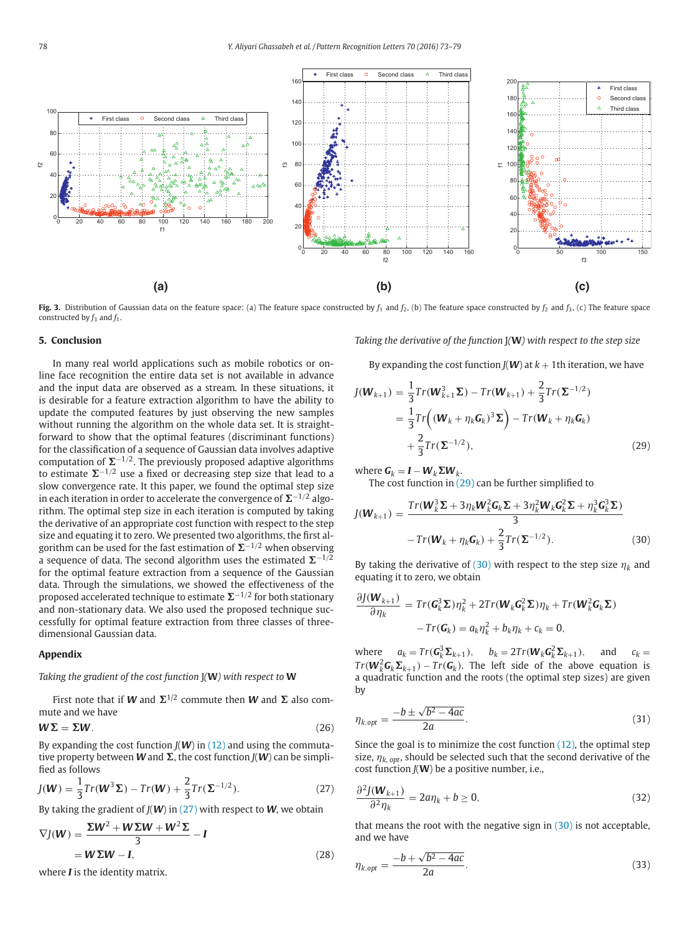<span id="page-5-0"></span>

**Fig. 3.** Distribution of Gaussian data on the feature space: (a) The feature space constructed by  $f_1$  and  $f_2$ , (b) The feature space constructed by  $f_2$  and  $f_3$ , (c) The feature space constructed by  $f_3$  and  $f_1$ .

#### **5. Conclusion**

In many real world applications such as mobile robotics or online face recognition the entire data set is not available in advance and the input data are observed as a stream. In these situations, it is desirable for a feature extraction algorithm to have the ability to update the computed features by just observing the new samples without running the algorithm on the whole data set. It is straightforward to show that the optimal features (discriminant functions) for the classification of a sequence of Gaussian data involves adaptive computation of  $\Sigma^{-1/2}$ . The previously proposed adaptive algorithms to estimate  $\Sigma^{-1/2}$  use a fixed or decreasing step size that lead to a slow convergence rate. It this paper, we found the optimal step size in each iteration in order to accelerate the convergence of  $\mathbf{\Sigma}^{-1/2}$  algorithm. The optimal step size in each iteration is computed by taking the derivative of an appropriate cost function with respect to the step size and equating it to zero. We presented two algorithms, the first algorithm can be used for the fast estimation of  $\Sigma^{-1/2}$  when observing a sequence of data. The second algorithm uses the estimated  $\Sigma^{-1/2}$ for the optimal feature extraction from a sequence of the Gaussian data. Through the simulations, we showed the effectiveness of the proposed accelerated technique to estimate ∑<sup>-1/2</sup> for both stationary and non-stationary data. We also used the proposed technique successfully for optimal feature extraction from three classes of threedimensional Gaussian data.

# **Appendix**

#### *Taking the gradient of the cost function* J*(***W***) with respect to* **W**

First note that if *W* and  $\Sigma$ <sup>1/2</sup> commute then *W* and  $\Sigma$  also commute and we have

$$
W\Sigma = \Sigma W. \tag{26}
$$

By expanding the cost function  $J(W)$  in [\(12\)](#page-1-0) and using the commutative property between **W** and  $\Sigma$ , the cost function *J*(**W**) can be simplified as follows

$$
J(\mathbf{W}) = \frac{1}{3} Tr(\mathbf{W}^{3} \Sigma) - Tr(\mathbf{W}) + \frac{2}{3} Tr(\Sigma^{-1/2}).
$$
 (27)

By taking the gradient of *J*(*W*) in (27) with respect to *W*, we obtain

$$
\nabla J(\mathbf{W}) = \frac{\Sigma \mathbf{W}^2 + \mathbf{W} \Sigma \mathbf{W} + \mathbf{W}^2 \Sigma}{3} - \mathbf{I}
$$
  
=  $\mathbf{W} \Sigma \mathbf{W} - \mathbf{I},$  (28)

where *I* is the identity matrix.

*Taking the derivative of the function* J*(***W***) with respect to the step size*

By expanding the cost function  $J(W)$  at  $k + 1$ th iteration, we have

$$
J(\boldsymbol{W}_{k+1}) = \frac{1}{3} Tr(\boldsymbol{W}_{k+1}^3 \boldsymbol{\Sigma}) - Tr(\boldsymbol{W}_{k+1}) + \frac{2}{3} Tr(\boldsymbol{\Sigma}^{-1/2})
$$
  
= 
$$
\frac{1}{3} Tr((\boldsymbol{W}_k + \eta_k \boldsymbol{G}_k)^3 \boldsymbol{\Sigma}) - Tr(\boldsymbol{W}_k + \eta_k \boldsymbol{G}_k)
$$
  
+ 
$$
\frac{2}{3} Tr(\boldsymbol{\Sigma}^{-1/2}),
$$
 (29)

 $\mathbf{w}$  where  $\mathbf{G}_k = \mathbf{I} - \mathbf{W}_k \mathbf{\Sigma} \mathbf{W}_k$ .

The cost function in  $(29)$  can be further simplified to

$$
J(\boldsymbol{W}_{k+1}) = \frac{Tr(\boldsymbol{W}_k^3 \boldsymbol{\Sigma} + 3\eta_k \boldsymbol{W}_k^2 \boldsymbol{G}_k \boldsymbol{\Sigma} + 3\eta_k^2 \boldsymbol{W}_k \boldsymbol{G}_k^2 \boldsymbol{\Sigma} + \eta_k^3 \boldsymbol{G}_k^3 \boldsymbol{\Sigma})}{3}
$$

$$
-Tr(\boldsymbol{W}_k + \eta_k \boldsymbol{G}_k) + \frac{2}{3} Tr(\boldsymbol{\Sigma}^{-1/2}).
$$
(30)

By taking the derivative of (30) with respect to the step size  $\eta_k$  and equating it to zero, we obtain

$$
\frac{\partial J(\boldsymbol{W}_{k+1})}{\partial \eta_k} = Tr(\boldsymbol{G}_k^3 \boldsymbol{\Sigma}) \eta_k^2 + 2Tr(\boldsymbol{W}_k \boldsymbol{G}_k^2 \boldsymbol{\Sigma}) \eta_k + Tr(\boldsymbol{W}_k^2 \boldsymbol{G}_k \boldsymbol{\Sigma})
$$

$$
- Tr(\boldsymbol{G}_k) = a_k \eta_k^2 + b_k \eta_k + c_k = 0,
$$

where  $a_k = Tr(G_k^3 \Sigma_{k+1}), \quad b_k = 2Tr(W_k G_k^2 \Sigma_{k+1}), \quad \text{and} \quad c_k =$  $Tr(W_k^2 G_k \Sigma_{k+1}) - Tr(G_k)$ . The left side of the above equation is a quadratic function and the roots (the optimal step sizes) are given by

$$
\eta_{k,opt} = \frac{-b \pm \sqrt{b^2 - 4ac}}{2a}.
$$
\n(31)

Since the goal is to minimize the cost function [\(12\),](#page-1-0) the optimal step size,  $\eta_{k, opt}$ , should be selected such that the second derivative of the cost function *J*(**W**) be a positive number, i.e.,

$$
\frac{\partial^2 J(\mathbf{W}_{k+1})}{\partial^2 \eta_k} = 2a\eta_k + b \ge 0,
$$
\n(32)

that means the root with the negative sign in  $(30)$  is not acceptable, and we have

$$
\eta_{k,opt} = \frac{-b + \sqrt{b^2 - 4ac}}{2a}.
$$
\n(33)